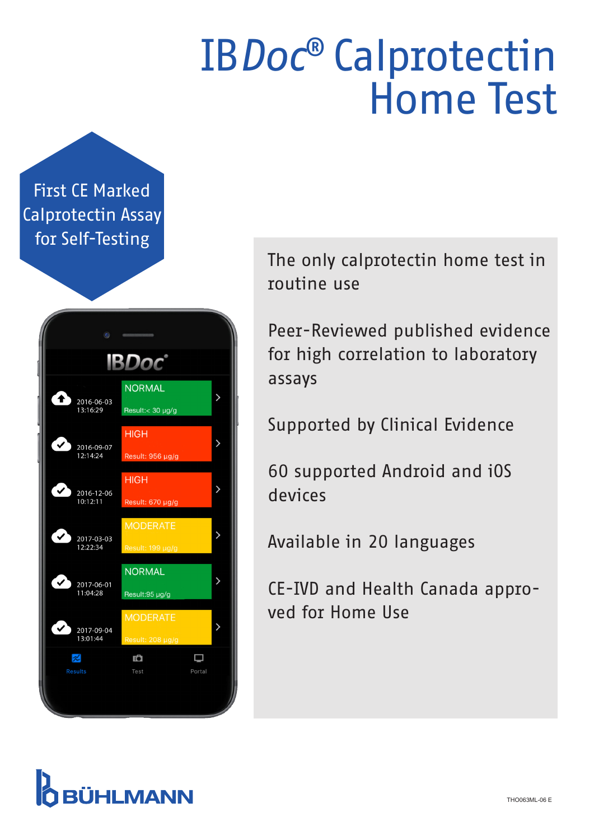## IB*Doc*® Calprotectin Home Test

First CE Marked Calprotectin Assay for Self-Testing

| $\mathbf{c}$                           |                                     |             |                    |  |  |  |
|----------------------------------------|-------------------------------------|-------------|--------------------|--|--|--|
| <b>IBDoc</b>                           |                                     |             |                    |  |  |  |
| 45<br>2016-06-03<br>13:16:29           | <b>NORMAL</b><br>Result:< 30 µg/g   |             | ゝ                  |  |  |  |
| 2016-09-07<br>12:14:24                 | <b>HIGH</b><br>Result: 956 µg/g     |             | ゝ                  |  |  |  |
| 2016-12-06<br>10:12:11                 | <b>HIGH</b><br>Result: 670 µg/g     |             | >                  |  |  |  |
| ′√<br>2017-03-03<br>12:22:34           | <b>MODERATE</b><br>Result: 199 µg/g |             | ゝ                  |  |  |  |
| $\checkmark$<br>2017-06-01<br>11:04:28 | <b>NORMAL</b><br>Result:95 µg/g     |             | $\mathbf{\lambda}$ |  |  |  |
| $\mathbf{v}$<br>2017-09-04<br>13:01:44 | <b>MODERATE</b><br>Result: 208 µg/g |             | >                  |  |  |  |
| $\approx$<br><b>Results</b>            | Ď<br>Test                           | □<br>Portal |                    |  |  |  |
|                                        |                                     |             |                    |  |  |  |

The only calprotectin home test in routine use

Peer-Reviewed published evidence for high correlation to laboratory assays

Supported by Clinical Evidence

60 supported Android and iOS devices

Available in 20 languages

CE-IVD and Health Canada approved for Home Use

### **BÜHLMANN**